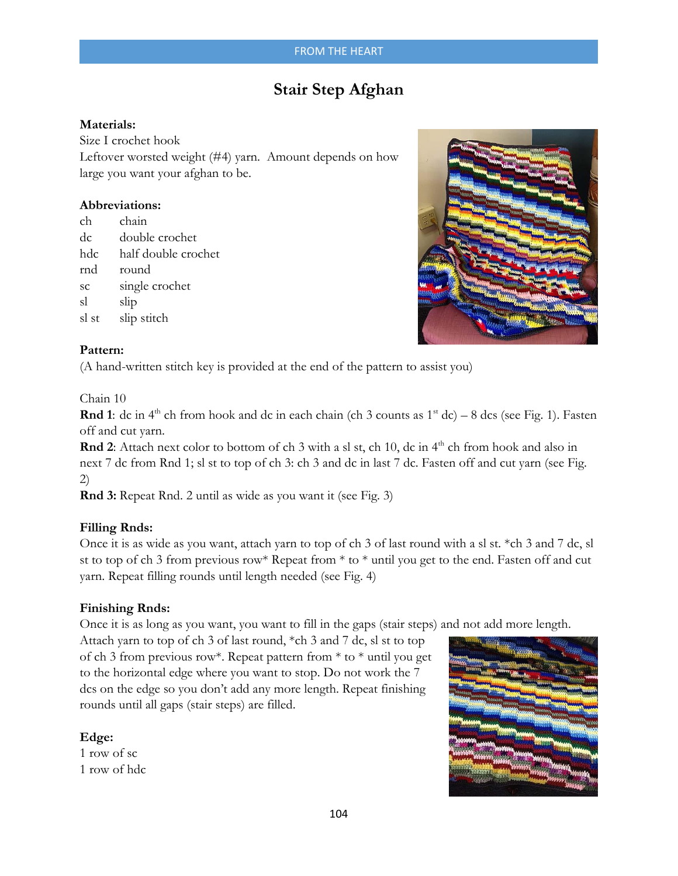# **Stair Step Afghan**

## **Materials:**

Size I crochet hook Leftover worsted weight (#4) yarn. Amount depends on how large you want your afghan to be.

### **Abbreviations:**

| ch    | chain               |
|-------|---------------------|
| dc    | double crochet      |
| hdc   | half double crochet |
| rnd   | round               |
| SC    | single crochet      |
| sl    | slip                |
| sl st | slip stitch         |



### **Pattern:**

(A hand-written stitch key is provided at the end of the pattern to assist you)

### Chain 10

**Rnd 1**: dc in  $4<sup>th</sup>$  ch from hook and dc in each chain (ch 3 counts as  $1<sup>st</sup>$  dc) – 8 dcs (see Fig. 1). Fasten off and cut yarn.

**Rnd 2**: Attach next color to bottom of ch 3 with a sl st, ch 10, dc in 4<sup>th</sup> ch from hook and also in next 7 dc from Rnd 1; sl st to top of ch 3: ch 3 and dc in last 7 dc. Fasten off and cut yarn (see Fig. 2)

**Rnd 3:** Repeat Rnd. 2 until as wide as you want it (see Fig. 3)

## **Filling Rnds:**

Once it is as wide as you want, attach yarn to top of ch 3 of last round with a sl st. \*ch 3 and 7 dc, sl st to top of ch 3 from previous row\* Repeat from \* to \* until you get to the end. Fasten off and cut yarn. Repeat filling rounds until length needed (see Fig. 4)

## **Finishing Rnds:**

Once it is as long as you want, you want to fill in the gaps (stair steps) and not add more length.

Attach yarn to top of ch 3 of last round, \*ch 3 and 7 dc, sl st to top of ch 3 from previous row\*. Repeat pattern from \* to \* until you get to the horizontal edge where you want to stop. Do not work the 7 dcs on the edge so you don't add any more length. Repeat finishing rounds until all gaps (stair steps) are filled.

## **Edge:**

1 row of sc 1 row of hdc